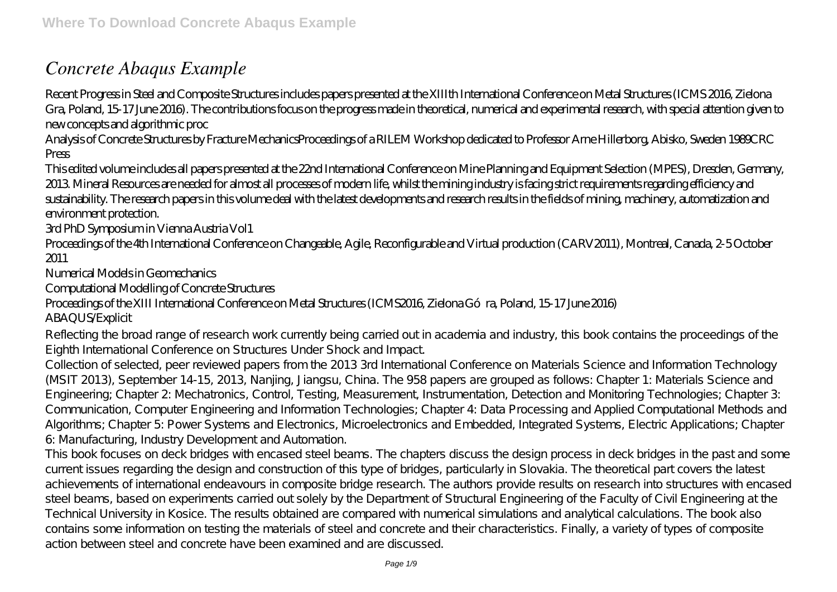## *Concrete Abaqus Example*

Recent Progress in Steel and Composite Structures includes papers presented at the XIIIth International Conference on Metal Structures (ICMS 2016, Zielona Gra, Poland, 15-17 June 2016). The contributions focus on the progress made in theoretical, numerical and experimental research, with special attention given to new concepts and algorithmic proc

Analysis of Concrete Structures by Fracture MechanicsProceedings of a RILEM Workshop dedicated to Professor Arne Hillerborg, Abisko, Sweden 1989CRC Press

This edited volume includes all papers presented at the 22nd International Conference on Mine Planning and Equipment Selection (MPES), Dresden, Germany, 2013. Mineral Resources are needed for almost all processes of modern life, whilst the mining industry is facing strict requirements regarding efficiency and sustainability. The research papers in this volume deal with the latest developments and research results in the fields of mining, machinery, automatization and environment protection.

3rd PhD Symposium in Vienna Austria Vol1

Proceedings of the 4th International Conference on Changeable, Agile, Reconfigurable and Virtual production (CARV2011), Montreal, Canada, 2-5 October 2011

Numerical Models in Geomechanics

Computational Modelling of Concrete Structures

## Proceedings of the XIII International Conference on Metal Structures (ICMS2016, Zielona Góra, Poland, 15-17 June 2016) ABAQUS/Explicit

Reflecting the broad range of research work currently being carried out in academia and industry, this book contains the proceedings of the Eighth International Conference on Structures Under Shock and Impact.

Collection of selected, peer reviewed papers from the 2013 3rd International Conference on Materials Science and Information Technology (MSIT 2013), September 14-15, 2013, Nanjing, Jiangsu, China. The 958 papers are grouped as follows: Chapter 1: Materials Science and Engineering; Chapter 2: Mechatronics, Control, Testing, Measurement, Instrumentation, Detection and Monitoring Technologies; Chapter 3: Communication, Computer Engineering and Information Technologies; Chapter 4: Data Processing and Applied Computational Methods and Algorithms; Chapter 5: Power Systems and Electronics, Microelectronics and Embedded, Integrated Systems, Electric Applications; Chapter 6: Manufacturing, Industry Development and Automation.

This book focuses on deck bridges with encased steel beams. The chapters discuss the design process in deck bridges in the past and some current issues regarding the design and construction of this type of bridges, particularly in Slovakia. The theoretical part covers the latest achievements of international endeavours in composite bridge research. The authors provide results on research into structures with encased steel beams, based on experiments carried out solely by the Department of Structural Engineering of the Faculty of Civil Engineering at the Technical University in Kosice. The results obtained are compared with numerical simulations and analytical calculations. The book also contains some information on testing the materials of steel and concrete and their characteristics. Finally, a variety of types of composite action between steel and concrete have been examined and are discussed.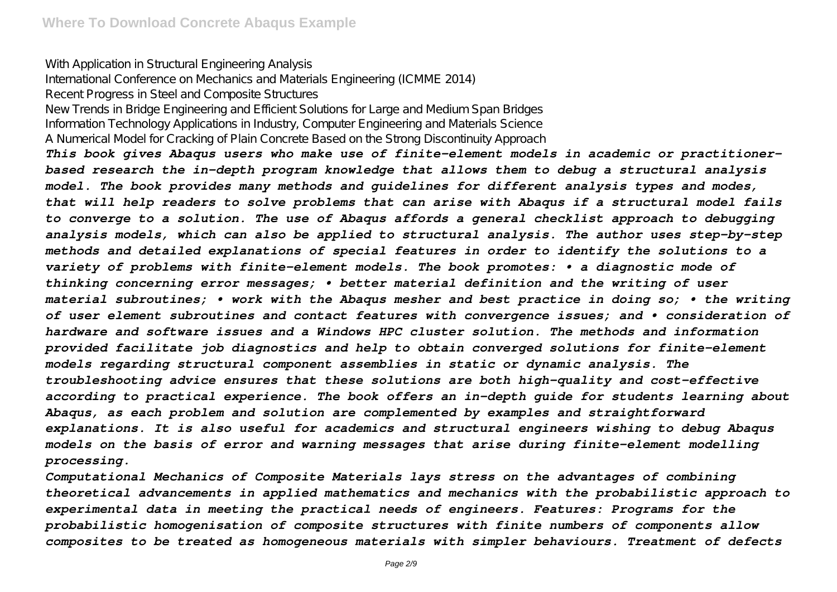With Application in Structural Engineering Analysis

International Conference on Mechanics and Materials Engineering (ICMME 2014)

Recent Progress in Steel and Composite Structures

New Trends in Bridge Engineering and Efficient Solutions for Large and Medium Span Bridges Information Technology Applications in Industry, Computer Engineering and Materials Science A Numerical Model for Cracking of Plain Concrete Based on the Strong Discontinuity Approach

*This book gives Abaqus users who make use of finite-element models in academic or practitionerbased research the in-depth program knowledge that allows them to debug a structural analysis model. The book provides many methods and guidelines for different analysis types and modes, that will help readers to solve problems that can arise with Abaqus if a structural model fails to converge to a solution. The use of Abaqus affords a general checklist approach to debugging analysis models, which can also be applied to structural analysis. The author uses step-by-step methods and detailed explanations of special features in order to identify the solutions to a variety of problems with finite-element models. The book promotes: • a diagnostic mode of thinking concerning error messages; • better material definition and the writing of user material subroutines; • work with the Abaqus mesher and best practice in doing so; • the writing of user element subroutines and contact features with convergence issues; and • consideration of hardware and software issues and a Windows HPC cluster solution. The methods and information provided facilitate job diagnostics and help to obtain converged solutions for finite-element models regarding structural component assemblies in static or dynamic analysis. The troubleshooting advice ensures that these solutions are both high-quality and cost-effective according to practical experience. The book offers an in-depth guide for students learning about Abaqus, as each problem and solution are complemented by examples and straightforward explanations. It is also useful for academics and structural engineers wishing to debug Abaqus models on the basis of error and warning messages that arise during finite-element modelling processing.*

*Computational Mechanics of Composite Materials lays stress on the advantages of combining theoretical advancements in applied mathematics and mechanics with the probabilistic approach to experimental data in meeting the practical needs of engineers. Features: Programs for the probabilistic homogenisation of composite structures with finite numbers of components allow composites to be treated as homogeneous materials with simpler behaviours. Treatment of defects*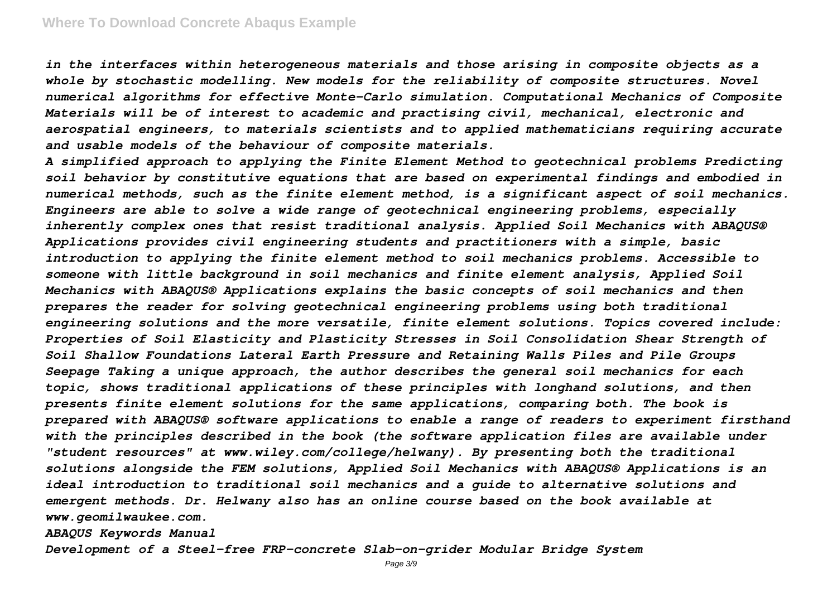*in the interfaces within heterogeneous materials and those arising in composite objects as a whole by stochastic modelling. New models for the reliability of composite structures. Novel numerical algorithms for effective Monte-Carlo simulation. Computational Mechanics of Composite Materials will be of interest to academic and practising civil, mechanical, electronic and aerospatial engineers, to materials scientists and to applied mathematicians requiring accurate and usable models of the behaviour of composite materials.*

*A simplified approach to applying the Finite Element Method to geotechnical problems Predicting soil behavior by constitutive equations that are based on experimental findings and embodied in numerical methods, such as the finite element method, is a significant aspect of soil mechanics. Engineers are able to solve a wide range of geotechnical engineering problems, especially inherently complex ones that resist traditional analysis. Applied Soil Mechanics with ABAQUS® Applications provides civil engineering students and practitioners with a simple, basic introduction to applying the finite element method to soil mechanics problems. Accessible to someone with little background in soil mechanics and finite element analysis, Applied Soil Mechanics with ABAQUS® Applications explains the basic concepts of soil mechanics and then prepares the reader for solving geotechnical engineering problems using both traditional engineering solutions and the more versatile, finite element solutions. Topics covered include: Properties of Soil Elasticity and Plasticity Stresses in Soil Consolidation Shear Strength of Soil Shallow Foundations Lateral Earth Pressure and Retaining Walls Piles and Pile Groups Seepage Taking a unique approach, the author describes the general soil mechanics for each topic, shows traditional applications of these principles with longhand solutions, and then presents finite element solutions for the same applications, comparing both. The book is prepared with ABAQUS® software applications to enable a range of readers to experiment firsthand with the principles described in the book (the software application files are available under "student resources" at www.wiley.com/college/helwany). By presenting both the traditional solutions alongside the FEM solutions, Applied Soil Mechanics with ABAQUS® Applications is an ideal introduction to traditional soil mechanics and a guide to alternative solutions and emergent methods. Dr. Helwany also has an online course based on the book available at www.geomilwaukee.com.*

*ABAQUS Keywords Manual*

*Development of a Steel-free FRP-concrete Slab-on-grider Modular Bridge System*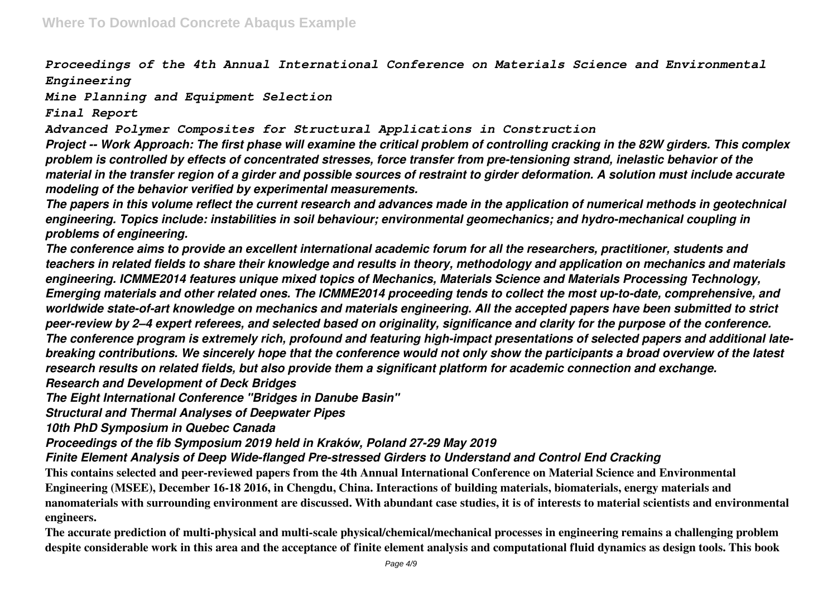*Proceedings of the 4th Annual International Conference on Materials Science and Environmental Engineering*

*Mine Planning and Equipment Selection*

*Final Report*

*Advanced Polymer Composites for Structural Applications in Construction*

*Project -- Work Approach: The first phase will examine the critical problem of controlling cracking in the 82W girders. This complex problem is controlled by effects of concentrated stresses, force transfer from pre-tensioning strand, inelastic behavior of the material in the transfer region of a girder and possible sources of restraint to girder deformation. A solution must include accurate modeling of the behavior verified by experimental measurements.*

*The papers in this volume reflect the current research and advances made in the application of numerical methods in geotechnical engineering. Topics include: instabilities in soil behaviour; environmental geomechanics; and hydro-mechanical coupling in problems of engineering.*

*The conference aims to provide an excellent international academic forum for all the researchers, practitioner, students and teachers in related fields to share their knowledge and results in theory, methodology and application on mechanics and materials engineering. ICMME2014 features unique mixed topics of Mechanics, Materials Science and Materials Processing Technology, Emerging materials and other related ones. The ICMME2014 proceeding tends to collect the most up-to-date, comprehensive, and worldwide state-of-art knowledge on mechanics and materials engineering. All the accepted papers have been submitted to strict peer-review by 2–4 expert referees, and selected based on originality, significance and clarity for the purpose of the conference. The conference program is extremely rich, profound and featuring high-impact presentations of selected papers and additional latebreaking contributions. We sincerely hope that the conference would not only show the participants a broad overview of the latest research results on related fields, but also provide them a significant platform for academic connection and exchange.*

*Research and Development of Deck Bridges*

*The Eight International Conference "Bridges in Danube Basin"*

*Structural and Thermal Analyses of Deepwater Pipes*

*10th PhD Symposium in Quebec Canada*

*Proceedings of the fib Symposium 2019 held in Kraków, Poland 27-29 May 2019*

*Finite Element Analysis of Deep Wide-flanged Pre-stressed Girders to Understand and Control End Cracking*

**This contains selected and peer-reviewed papers from the 4th Annual International Conference on Material Science and Environmental Engineering (MSEE), December 16-18 2016, in Chengdu, China. Interactions of building materials, biomaterials, energy materials and nanomaterials with surrounding environment are discussed. With abundant case studies, it is of interests to material scientists and environmental engineers.**

**The accurate prediction of multi-physical and multi-scale physical/chemical/mechanical processes in engineering remains a challenging problem despite considerable work in this area and the acceptance of finite element analysis and computational fluid dynamics as design tools. This book**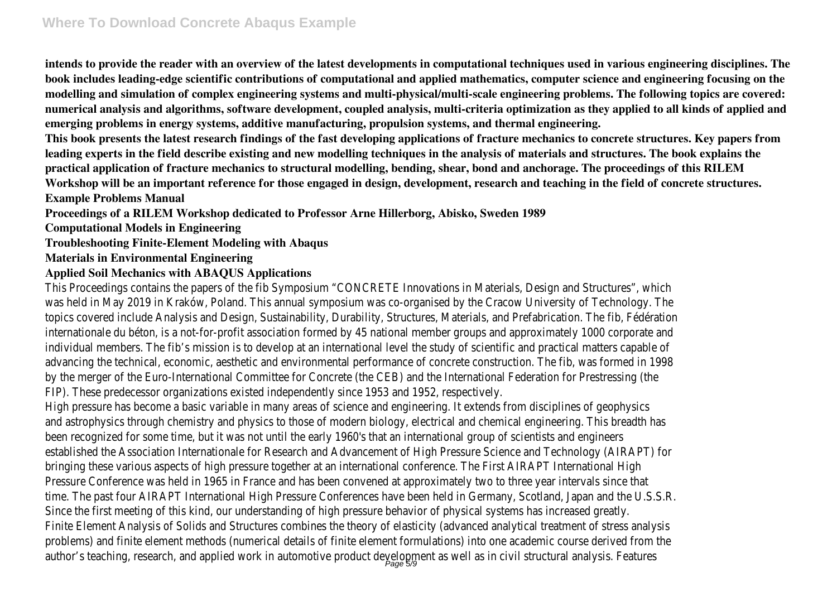**intends to provide the reader with an overview of the latest developments in computational techniques used in various engineering disciplines. The book includes leading-edge scientific contributions of computational and applied mathematics, computer science and engineering focusing on the modelling and simulation of complex engineering systems and multi-physical/multi-scale engineering problems. The following topics are covered: numerical analysis and algorithms, software development, coupled analysis, multi-criteria optimization as they applied to all kinds of applied and emerging problems in energy systems, additive manufacturing, propulsion systems, and thermal engineering.**

**This book presents the latest research findings of the fast developing applications of fracture mechanics to concrete structures. Key papers from leading experts in the field describe existing and new modelling techniques in the analysis of materials and structures. The book explains the practical application of fracture mechanics to structural modelling, bending, shear, bond and anchorage. The proceedings of this RILEM Workshop will be an important reference for those engaged in design, development, research and teaching in the field of concrete structures. Example Problems Manual**

**Proceedings of a RILEM Workshop dedicated to Professor Arne Hillerborg, Abisko, Sweden 1989**

**Computational Models in Engineering**

**Troubleshooting Finite-Element Modeling with Abaqus**

## **Materials in Environmental Engineering**

## **Applied Soil Mechanics with ABAQUS Applications**

This Proceedings contains the papers of the fib Symposium "CONCRETE Innovations in Materials, Design and Structures", which was held in May 2019 in Kraków, Poland. This annual symposium was co-organised by the Cracow University of Technology. The topics covered include Analysis and Design, Sustainability, Durability, Structures, Materials, and Prefabrication. The fib, Fédération internationale du béton, is a not-for-profit association formed by 45 national member groups and approximately 1000 corporate and individual members. The fib's mission is to develop at an international level the study of scientific and practical matters capable of advancing the technical, economic, aesthetic and environmental performance of concrete construction. The fib, was formed in 1998 by the merger of the Euro-International Committee for Concrete (the CEB) and the International Federation for Prestressing (the FIP). These predecessor organizations existed independently since 1953 and 1952, respectively.

High pressure has become a basic variable in many areas of science and engineering. It extends from disciplines of geophysics and astrophysics through chemistry and physics to those of modern biology, electrical and chemical engineering. This breadth has been recognized for some time, but it was not until the early 1960's that an international group of scientists and engineers established the Association Internationale for Research and Advancement of High Pressure Science and Technology (AIRAPT) for bringing these various aspects of high pressure together at an international conference. The First AIRAPT International High Pressure Conference was held in 1965 in France and has been convened at approximately two to three year intervals since that time. The past four AIRAPT International High Pressure Conferences have been held in Germany, Scotland, Japan and the U.S.S.R. Since the first meeting of this kind, our understanding of high pressure behavior of physical systems has increased greatly. Finite Element Analysis of Solids and Structures combines the theory of elasticity (advanced analytical treatment of stress analysis problems) and finite element methods (numerical details of finite element formulations) into one academic course derived from the author's teaching, research, and applied work in automotive product development as well as in civil structural analysis. Features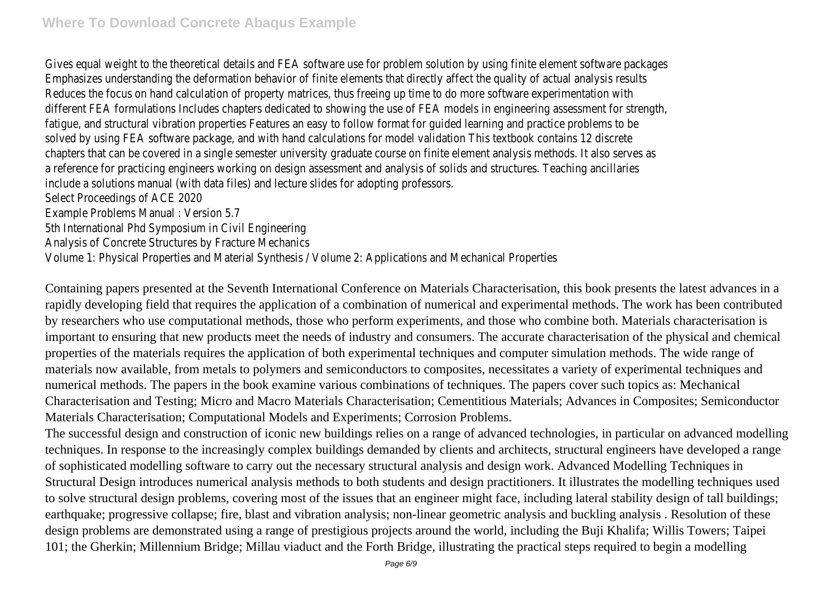Gives equal weight to the theoretical details and FEA software use for problem solution by using finite element software packages Emphasizes understanding the deformation behavior of finite elements that directly affect the quality of actual analysis results Reduces the focus on hand calculation of property matrices, thus freeing up time to do more software experimentation with different FEA formulations Includes chapters dedicated to showing the use of FEA models in engineering assessment for strength, fatigue, and structural vibration properties Features an easy to follow format for guided learning and practice problems to be solved by using FEA software package, and with hand calculations for model validation This textbook contains 12 discrete chapters that can be covered in a single semester university graduate course on finite element analysis methods. It also serves as a reference for practicing engineers working on design assessment and analysis of solids and structures. Teaching ancillaries include a solutions manual (with data files) and lecture slides for adopting professors. Select Proceedings of ACE 2020 Example Problems Manual : Version 5.7 5th International Phd Symposium in Civil Engineering Analysis of Concrete Structures by Fracture Mechanics

Volume 1: Physical Properties and Material Synthesis / Volume 2: Applications and Mechanical Properties

Containing papers presented at the Seventh International Conference on Materials Characterisation, this book presents the latest advances in a rapidly developing field that requires the application of a combination of numerical and experimental methods. The work has been contributed by researchers who use computational methods, those who perform experiments, and those who combine both. Materials characterisation is important to ensuring that new products meet the needs of industry and consumers. The accurate characterisation of the physical and chemical properties of the materials requires the application of both experimental techniques and computer simulation methods. The wide range of materials now available, from metals to polymers and semiconductors to composites, necessitates a variety of experimental techniques and numerical methods. The papers in the book examine various combinations of techniques. The papers cover such topics as: Mechanical Characterisation and Testing; Micro and Macro Materials Characterisation; Cementitious Materials; Advances in Composites; Semiconductor Materials Characterisation; Computational Models and Experiments; Corrosion Problems.

The successful design and construction of iconic new buildings relies on a range of advanced technologies, in particular on advanced modelling techniques. In response to the increasingly complex buildings demanded by clients and architects, structural engineers have developed a range of sophisticated modelling software to carry out the necessary structural analysis and design work. Advanced Modelling Techniques in Structural Design introduces numerical analysis methods to both students and design practitioners. It illustrates the modelling techniques used to solve structural design problems, covering most of the issues that an engineer might face, including lateral stability design of tall buildings; earthquake; progressive collapse; fire, blast and vibration analysis; non-linear geometric analysis and buckling analysis . Resolution of these design problems are demonstrated using a range of prestigious projects around the world, including the Buji Khalifa; Willis Towers; Taipei 101; the Gherkin; Millennium Bridge; Millau viaduct and the Forth Bridge, illustrating the practical steps required to begin a modelling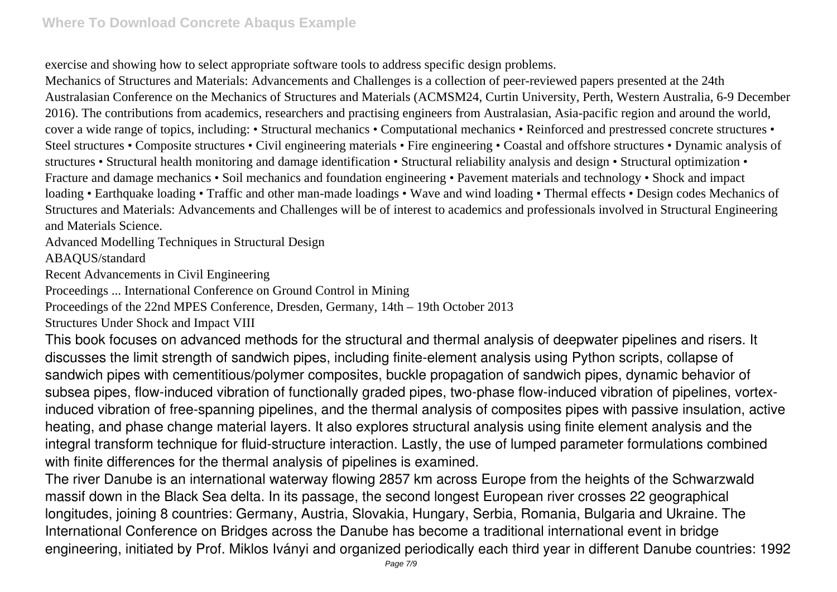exercise and showing how to select appropriate software tools to address specific design problems.

Mechanics of Structures and Materials: Advancements and Challenges is a collection of peer-reviewed papers presented at the 24th Australasian Conference on the Mechanics of Structures and Materials (ACMSM24, Curtin University, Perth, Western Australia, 6-9 December 2016). The contributions from academics, researchers and practising engineers from Australasian, Asia-pacific region and around the world, cover a wide range of topics, including: • Structural mechanics • Computational mechanics • Reinforced and prestressed concrete structures • Steel structures • Composite structures • Civil engineering materials • Fire engineering • Coastal and offshore structures • Dynamic analysis of structures • Structural health monitoring and damage identification • Structural reliability analysis and design • Structural optimization • Fracture and damage mechanics • Soil mechanics and foundation engineering • Pavement materials and technology • Shock and impact loading • Earthquake loading • Traffic and other man-made loadings • Wave and wind loading • Thermal effects • Design codes Mechanics of Structures and Materials: Advancements and Challenges will be of interest to academics and professionals involved in Structural Engineering and Materials Science.

Advanced Modelling Techniques in Structural Design

ABAQUS/standard

Recent Advancements in Civil Engineering

Proceedings ... International Conference on Ground Control in Mining

Proceedings of the 22nd MPES Conference, Dresden, Germany, 14th – 19th October 2013

Structures Under Shock and Impact VIII

This book focuses on advanced methods for the structural and thermal analysis of deepwater pipelines and risers. It discusses the limit strength of sandwich pipes, including finite-element analysis using Python scripts, collapse of sandwich pipes with cementitious/polymer composites, buckle propagation of sandwich pipes, dynamic behavior of subsea pipes, flow-induced vibration of functionally graded pipes, two-phase flow-induced vibration of pipelines, vortexinduced vibration of free-spanning pipelines, and the thermal analysis of composites pipes with passive insulation, active heating, and phase change material layers. It also explores structural analysis using finite element analysis and the integral transform technique for fluid-structure interaction. Lastly, the use of lumped parameter formulations combined with finite differences for the thermal analysis of pipelines is examined.

The river Danube is an international waterway flowing 2857 km across Europe from the heights of the Schwarzwald massif down in the Black Sea delta. In its passage, the second longest European river crosses 22 geographical longitudes, joining 8 countries: Germany, Austria, Slovakia, Hungary, Serbia, Romania, Bulgaria and Ukraine. The International Conference on Bridges across the Danube has become a traditional international event in bridge engineering, initiated by Prof. Miklos Iványi and organized periodically each third year in different Danube countries: 1992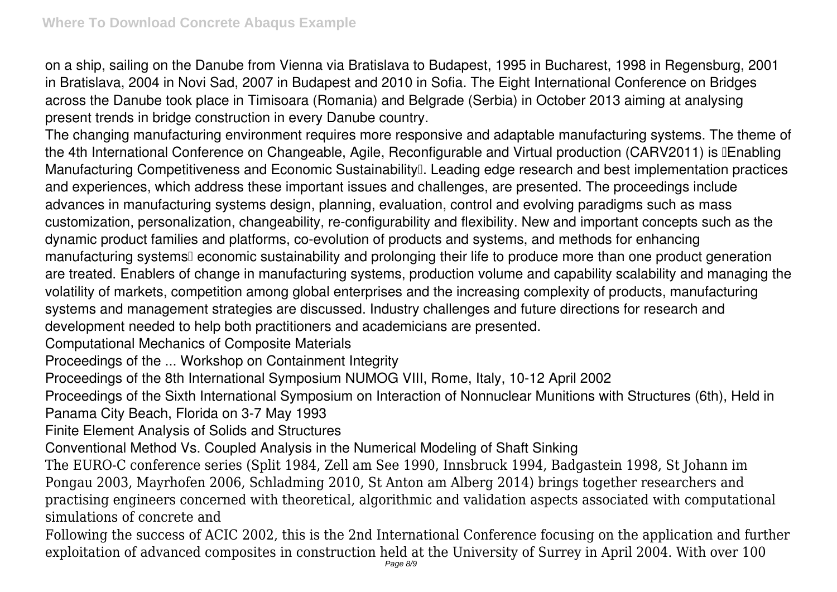on a ship, sailing on the Danube from Vienna via Bratislava to Budapest, 1995 in Bucharest, 1998 in Regensburg, 2001 in Bratislava, 2004 in Novi Sad, 2007 in Budapest and 2010 in Sofia. The Eight International Conference on Bridges across the Danube took place in Timisoara (Romania) and Belgrade (Serbia) in October 2013 aiming at analysing present trends in bridge construction in every Danube country.

The changing manufacturing environment requires more responsive and adaptable manufacturing systems. The theme of the 4th International Conference on Changeable, Agile, Reconfigurable and Virtual production (CARV2011) is **IEnabling** Manufacturing Competitiveness and Economic Sustainability<sup>[]</sup>. Leading edge research and best implementation practices and experiences, which address these important issues and challenges, are presented. The proceedings include advances in manufacturing systems design, planning, evaluation, control and evolving paradigms such as mass customization, personalization, changeability, re-configurability and flexibility. New and important concepts such as the dynamic product families and platforms, co-evolution of products and systems, and methods for enhancing manufacturing systems<sup>[]</sup> economic sustainability and prolonging their life to produce more than one product generation are treated. Enablers of change in manufacturing systems, production volume and capability scalability and managing the volatility of markets, competition among global enterprises and the increasing complexity of products, manufacturing systems and management strategies are discussed. Industry challenges and future directions for research and development needed to help both practitioners and academicians are presented.

Computational Mechanics of Composite Materials

Proceedings of the ... Workshop on Containment Integrity

Proceedings of the 8th International Symposium NUMOG VIII, Rome, Italy, 10-12 April 2002

Proceedings of the Sixth International Symposium on Interaction of Nonnuclear Munitions with Structures (6th), Held in Panama City Beach, Florida on 3-7 May 1993

Finite Element Analysis of Solids and Structures

Conventional Method Vs. Coupled Analysis in the Numerical Modeling of Shaft Sinking

The EURO-C conference series (Split 1984, Zell am See 1990, Innsbruck 1994, Badgastein 1998, St Johann im Pongau 2003, Mayrhofen 2006, Schladming 2010, St Anton am Alberg 2014) brings together researchers and practising engineers concerned with theoretical, algorithmic and validation aspects associated with computational simulations of concrete and

Following the success of ACIC 2002, this is the 2nd International Conference focusing on the application and further exploitation of advanced composites in construction held at the University of Surrey in April 2004. With over 100